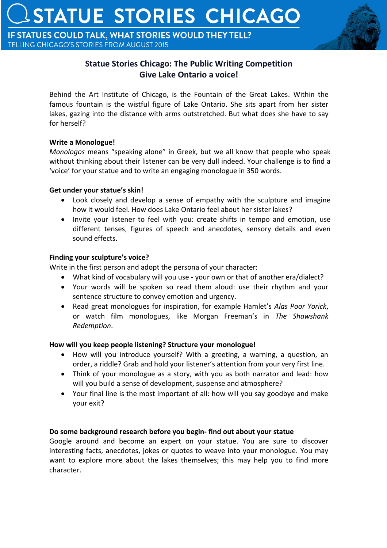IF STATUES COULD TALK, WHAT STORIES WOULD THEY TELL? TELLING CHICAGO'S STORIES FROM AUGUST 2015



# **Statue Stories Chicago: The Public Writing Competition Give Lake Ontario a voice!**

Behind the Art Institute of Chicago, is the Fountain of the Great Lakes. Within the famous fountain is the wistful figure of Lake Ontario. She sits apart from her sister lakes, gazing into the distance with arms outstretched. But what does she have to say for herself?

#### **Write a Monologue!**

*Monologos* means "speaking alone" in Greek, but we all know that people who speak without thinking about their listener can be very dull indeed. Your challenge is to find a 'voice' for your statue and to write an engaging monologue in 350 words.

#### **Get under your statue's skin!**

- Look closely and develop a sense of empathy with the sculpture and imagine how it would feel. How does Lake Ontario feel about her sister lakes?
- Invite your listener to feel with you: create shifts in tempo and emotion, use different tenses, figures of speech and anecdotes, sensory details and even sound effects.

### **Finding your sculpture's voice?**

Write in the first person and adopt the persona of your character:

- What kind of vocabulary will you use your own or that of another era/dialect?
- Your words will be spoken so read them aloud: use their rhythm and your sentence structure to convey emotion and urgency.
- Read great monologues for inspiration, for example Hamlet's *Alas Poor Yorick*, or watch film monologues, like Morgan Freeman's in *The Shawshank Redemption*.

# **How will you keep people listening? Structure your monologue!**

- How will you introduce yourself? With a greeting, a warning, a question, an order, a riddle? Grab and hold your listener's attention from your very first line.
- Think of your monologue as a story, with you as both narrator and lead: how will you build a sense of development, suspense and atmosphere?
- Your final line is the most important of all: how will you say goodbye and make your exit?

# **Do some background research before you begin- find out about your statue**

Google around and become an expert on your statue. You are sure to discover interesting facts, anecdotes, jokes or quotes to weave into your monologue. You may want to explore more about the lakes themselves; this may help you to find more character.